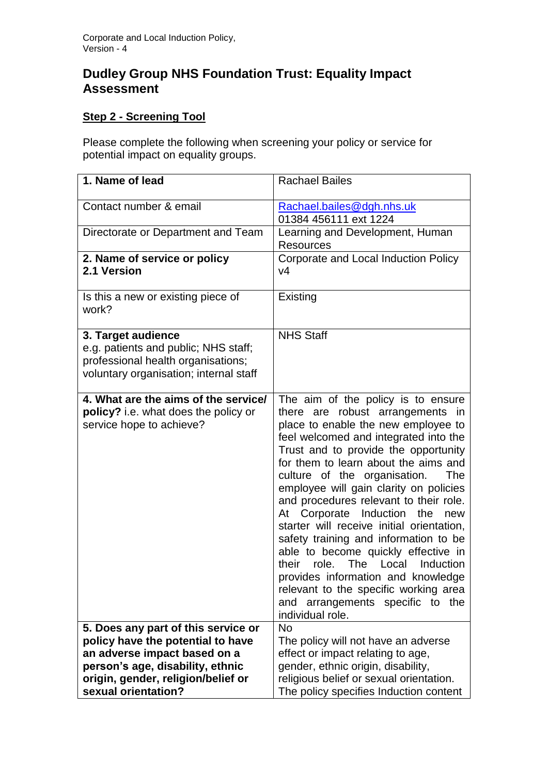## **Dudley Group NHS Foundation Trust: Equality Impact Assessment**

## **Step 2 - Screening Tool**

Please complete the following when screening your policy or service for potential impact on equality groups.

| 1. Name of lead                                                                                                                            | <b>Rachael Bailes</b>                                                                                                                                                                                                                                                                                                                                                                                                                                                                                                                                                                                                                                                                                                        |
|--------------------------------------------------------------------------------------------------------------------------------------------|------------------------------------------------------------------------------------------------------------------------------------------------------------------------------------------------------------------------------------------------------------------------------------------------------------------------------------------------------------------------------------------------------------------------------------------------------------------------------------------------------------------------------------------------------------------------------------------------------------------------------------------------------------------------------------------------------------------------------|
| Contact number & email                                                                                                                     | Rachael.bailes@dgh.nhs.uk<br>01384 456111 ext 1224                                                                                                                                                                                                                                                                                                                                                                                                                                                                                                                                                                                                                                                                           |
| Directorate or Department and Team                                                                                                         | Learning and Development, Human<br><b>Resources</b>                                                                                                                                                                                                                                                                                                                                                                                                                                                                                                                                                                                                                                                                          |
| 2. Name of service or policy<br>2.1 Version                                                                                                | Corporate and Local Induction Policy<br>v4                                                                                                                                                                                                                                                                                                                                                                                                                                                                                                                                                                                                                                                                                   |
| Is this a new or existing piece of<br>work?                                                                                                | Existing                                                                                                                                                                                                                                                                                                                                                                                                                                                                                                                                                                                                                                                                                                                     |
| 3. Target audience<br>e.g. patients and public; NHS staff;<br>professional health organisations;<br>voluntary organisation; internal staff | <b>NHS Staff</b>                                                                                                                                                                                                                                                                                                                                                                                                                                                                                                                                                                                                                                                                                                             |
| 4. What are the aims of the service/<br>policy? i.e. what does the policy or<br>service hope to achieve?                                   | The aim of the policy is to ensure<br>there are robust arrangements in<br>place to enable the new employee to<br>feel welcomed and integrated into the<br>Trust and to provide the opportunity<br>for them to learn about the aims and<br>culture of the organisation.<br>The<br>employee will gain clarity on policies<br>and procedures relevant to their role.<br>Corporate Induction the<br>At<br>new<br>starter will receive initial orientation,<br>safety training and information to be<br>able to become quickly effective in<br>The Local<br>their<br>role.<br>Induction<br>provides information and knowledge<br>relevant to the specific working area<br>and arrangements specific to<br>the<br>individual role. |
| 5. Does any part of this service or                                                                                                        | <b>No</b>                                                                                                                                                                                                                                                                                                                                                                                                                                                                                                                                                                                                                                                                                                                    |
| policy have the potential to have<br>an adverse impact based on a                                                                          | The policy will not have an adverse<br>effect or impact relating to age,                                                                                                                                                                                                                                                                                                                                                                                                                                                                                                                                                                                                                                                     |
| person's age, disability, ethnic                                                                                                           | gender, ethnic origin, disability,                                                                                                                                                                                                                                                                                                                                                                                                                                                                                                                                                                                                                                                                                           |
| origin, gender, religion/belief or                                                                                                         | religious belief or sexual orientation.                                                                                                                                                                                                                                                                                                                                                                                                                                                                                                                                                                                                                                                                                      |
| sexual orientation?                                                                                                                        | The policy specifies Induction content                                                                                                                                                                                                                                                                                                                                                                                                                                                                                                                                                                                                                                                                                       |